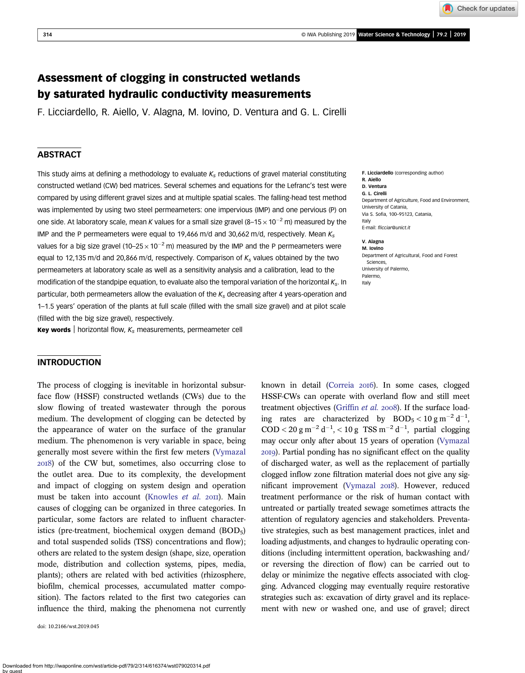Check for updates

# Assessment of clogging in constructed wetlands by saturated hydraulic conductivity measurements

F. Licciardello, R. Aiello, V. Alagna, M. Iovino, D. Ventura and G. L. Cirelli

# **ABSTRACT**

This study aims at defining a methodology to evaluate  $K_s$  reductions of gravel material constituting constructed wetland (CW) bed matrices. Several schemes and equations for the Lefranc's test were compared by using different gravel sizes and at multiple spatial scales. The falling-head test method was implemented by using two steel permeameters: one impervious (IMP) and one pervious (P) on one side. At laboratory scale, mean K values for a small size gravel  $(8-15 \times 10^{-2}$  m) measured by the IMP and the P permeameters were equal to 19,466 m/d and 30,662 m/d, respectively. Mean  $K_s$ values for a big size gravel (10–25  $\times$  10<sup>-2</sup> m) measured by the IMP and the P permeameters were equal to 12,135 m/d and 20,866 m/d, respectively. Comparison of  $K_s$  values obtained by the two permeameters at laboratory scale as well as a sensitivity analysis and a calibration, lead to the modification of the standpipe equation, to evaluate also the temporal variation of the horizontal  $K_s$ . In particular, both permeameters allow the evaluation of the  $K_s$  decreasing after 4 years-operation and 1–1.5 years' operation of the plants at full scale (filled with the small size gravel) and at pilot scale (filled with the big size gravel), respectively.

**Key words** | horizontal flow,  $K_s$  measurements, permeameter cell

# **INTRODUCTION**

The process of clogging is inevitable in horizontal subsurface flow (HSSF) constructed wetlands (CWs) due to the slow flowing of treated wastewater through the porous medium. The development of clogging can be detected by the appearance of water on the surface of the granular medium. The phenomenon is very variable in space, being generally most severe within the first few meters ([Vymazal](#page-8-0) ) of the CW but, sometimes, also occurring close to the outlet area. Due to its complexity, the development and impact of clogging on system design and operation must be taken into account [\(Knowles](#page-8-0) et al. 2011). Main causes of clogging can be organized in three categories. In particular, some factors are related to influent characteristics (pre-treatment, biochemical oxygen demand  $(BOD<sub>5</sub>)$ and total suspended solids (TSS) concentrations and flow); others are related to the system design (shape, size, operation mode, distribution and collection systems, pipes, media, plants); others are related with bed activities (rhizosphere, biofilm, chemical processes, accumulated matter composition). The factors related to the first two categories can influence the third, making the phenomena not currently

doi: 10.2166/wst.2019.045

F. Licciardello (corresponding author) R. Aiello D. Ventura G. L. Cirelli Department of Agriculture, Food and Environment, University of Catania, Via S. Sofia, 100–95123, Catania, Italy E-mail: fl[icciar@unict.it](mailto:flicciar@unict.it)

V. Alagna M. Iovino Department of Agricultural, Food and Forest Sciences, University of Palermo, Palermo, Italy

known in detail [\(Correia](#page-8-0) 2016). In some cases, clogged HSSF-CWs can operate with overland flow and still meet treatment objectives [\(Griffin](#page-8-0) et al. 2008). If the surface loading rates are characterized by  $BOD_5 < 10 \text{ g m}^{-2} \text{ d}^{-1}$ ,  $\text{COD} < 20 \text{ g m}^{-2} \text{ d}^{-1}, < 10 \text{ g TSS m}^{-2} \text{ d}^{-1}, \text{ partial clogging}$ may occur only after about 15 years of operation [\(Vymazal](#page-8-0) ). Partial ponding has no significant effect on the quality of discharged water, as well as the replacement of partially clogged inflow zone filtration material does not give any sig-nificant improvement [\(Vymazal](#page-8-0) 2018). However, reduced treatment performance or the risk of human contact with untreated or partially treated sewage sometimes attracts the attention of regulatory agencies and stakeholders. Preventative strategies, such as best management practices, inlet and loading adjustments, and changes to hydraulic operating conditions (including intermittent operation, backwashing and/ or reversing the direction of flow) can be carried out to delay or minimize the negative effects associated with clogging. Advanced clogging may eventually require restorative strategies such as: excavation of dirty gravel and its replacement with new or washed one, and use of gravel; direct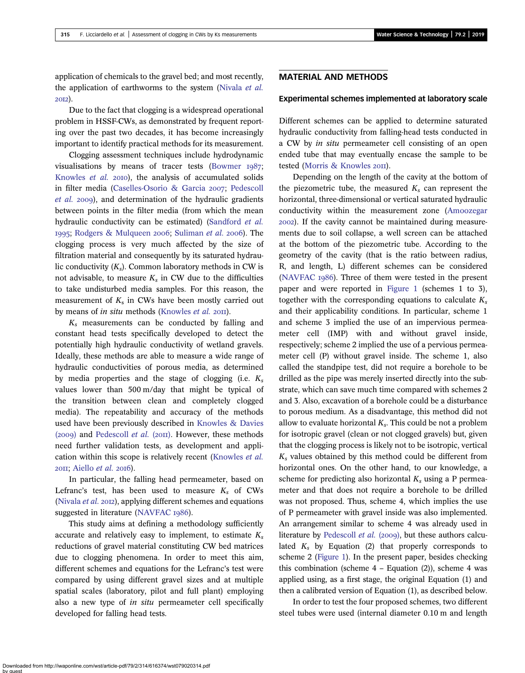application of chemicals to the gravel bed; and most recently, the application of earthworms to the system ([Nivala](#page-8-0) et al. 2012).

Due to the fact that clogging is a widespread operational problem in HSSF-CWs, as demonstrated by frequent reporting over the past two decades, it has become increasingly important to identify practical methods for its measurement.

Clogging assessment techniques include hydrodynamic visualisations by means of tracer tests ([Bowmer](#page-8-0)  $1987$ ; [Knowles](#page-8-0) et al. 2010), the analysis of accumulated solids in filter media [\(Caselles-Osorio & Garcia](#page-8-0) 2007; [Pedescoll](#page-8-0)  $et$  al. 2009), and determination of the hydraulic gradients between points in the filter media (from which the mean hydraulic conductivity can be estimated) ([Sandford](#page-8-0) et al. 1995; [Rodgers & Mulqueen](#page-8-0) 2006; [Suliman](#page-8-0) et al. 2006). The clogging process is very much affected by the size of filtration material and consequently by its saturated hydraulic conductivity  $(K_s)$ . Common laboratory methods in CW is not advisable, to measure  $K_s$  in CW due to the difficulties to take undisturbed media samples. For this reason, the measurement of  $K<sub>s</sub>$  in CWs have been mostly carried out by means of in situ methods ([Knowles](#page-8-0) et al. 2011).

 $K<sub>s</sub>$  measurements can be conducted by falling and constant head tests specifically developed to detect the potentially high hydraulic conductivity of wetland gravels. Ideally, these methods are able to measure a wide range of hydraulic conductivities of porous media, as determined by media properties and the stage of clogging (i.e.  $K_s$ values lower than 500 m/day that might be typical of the transition between clean and completely clogged media). The repeatability and accuracy of the methods used have been previously described in [Knowles & Davies](#page-8-0) (2009) and [Pedescoll](#page-8-0) et al. (2011). However, these methods need further validation tests, as development and appli-cation within this scope is relatively recent [\(Knowles](#page-8-0) et al.  $20II$ ; [Aiello](#page-8-0) *et al.*  $20I6$ ).

In particular, the falling head permeameter, based on Lefranc's test, has been used to measure  $K_s$  of CWs [\(Nivala](#page-8-0)  $et$   $al.$  2012), applying different schemes and equations suggested in literature [\(NAVFAC](#page-8-0) 1986).

This study aims at defining a methodology sufficiently accurate and relatively easy to implement, to estimate  $K_s$ reductions of gravel material constituting CW bed matrices due to clogging phenomena. In order to meet this aim, different schemes and equations for the Lefranc's test were compared by using different gravel sizes and at multiple spatial scales (laboratory, pilot and full plant) employing also a new type of *in situ* permeameter cell specifically developed for falling head tests.

## MATERIAL AND METHODS

### Experimental schemes implemented at laboratory scale

Different schemes can be applied to determine saturated hydraulic conductivity from falling-head tests conducted in a CW by in situ permeameter cell consisting of an open ended tube that may eventually encase the sample to be tested ([Morris & Knowles](#page-8-0) 2011).

Depending on the length of the cavity at the bottom of the piezometric tube, the measured  $K_s$  can represent the horizontal, three-dimensional or vertical saturated hydraulic conductivity within the measurement zone [\(Amoozegar](#page-8-0) ). If the cavity cannot be maintained during measurements due to soil collapse, a well screen can be attached at the bottom of the piezometric tube. According to the geometry of the cavity (that is the ratio between radius, R, and length, L) different schemes can be considered  $(NAVFAC I986)$  $(NAVFAC I986)$ . Three of them were tested in the present paper and were reported in [Figure 1](#page-2-0) (schemes 1 to 3), together with the corresponding equations to calculate  $K_s$ and their applicability conditions. In particular, scheme 1 and scheme 3 implied the use of an impervious permeameter cell (IMP) with and without gravel inside, respectively; scheme 2 implied the use of a pervious permeameter cell (P) without gravel inside. The scheme 1, also called the standpipe test, did not require a borehole to be drilled as the pipe was merely inserted directly into the substrate, which can save much time compared with schemes 2 and 3. Also, excavation of a borehole could be a disturbance to porous medium. As a disadvantage, this method did not allow to evaluate horizontal  $K_s$ . This could be not a problem for isotropic gravel (clean or not clogged gravels) but, given that the clogging process is likely not to be isotropic, vertical  $K_s$  values obtained by this method could be different from horizontal ones. On the other hand, to our knowledge, a scheme for predicting also horizontal  $K_s$  using a P permeameter and that does not require a borehole to be drilled was not proposed. Thus, scheme 4, which implies the use of P permeameter with gravel inside was also implemented. An arrangement similar to scheme 4 was already used in literature by [Pedescoll](#page-8-0) et al. (2009), but these authors calculated  $K_s$  by Equation (2) that properly corresponds to scheme 2 [\(Figure 1\)](#page-2-0). In the present paper, besides checking this combination (scheme  $4$  – Equation (2)), scheme  $4$  was applied using, as a first stage, the original Equation (1) and then a calibrated version of Equation (1), as described below.

In order to test the four proposed schemes, two different steel tubes were used (internal diameter 0.10 m and length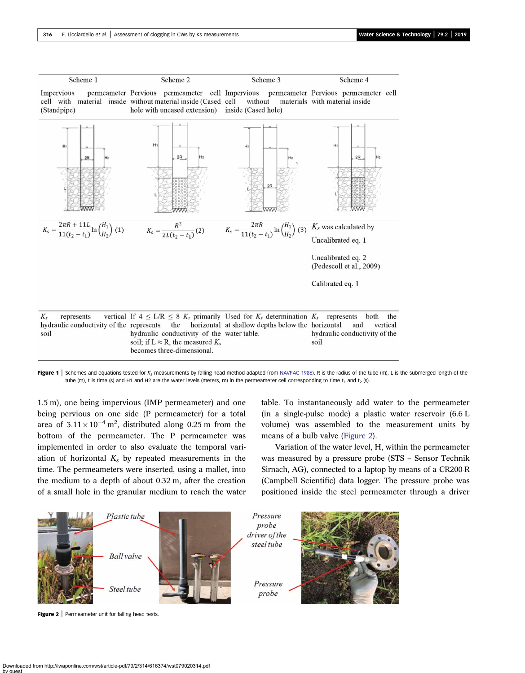<span id="page-2-0"></span>

Figure 1 Schemes and equations tested for K<sub>s</sub> measurements by falling-head method adapted from [NAVFAC 1986\)](#page-8-0). R is the radius of the tube (m), L is the submerged length of the tube (m), t is time (s) and H1 and H2 are the water levels (meters, m) in the permeameter cell corresponding to time  $t_1$  and  $t_2$  (s).

1.5 m), one being impervious (IMP permeameter) and one being pervious on one side (P permeameter) for a total area of  $3.11 \times 10^{-4}$  m<sup>2</sup>, distributed along 0.25 m from the bottom of the permeameter. The P permeameter was implemented in order to also evaluate the temporal variation of horizontal  $K_s$  by repeated measurements in the time. The permeameters were inserted, using a mallet, into the medium to a depth of about 0.32 m, after the creation of a small hole in the granular medium to reach the water table. To instantaneously add water to the permeameter (in a single-pulse mode) a plastic water reservoir (6.6 L volume) was assembled to the measurement units by means of a bulb valve (Figure 2).

Variation of the water level, H, within the permeameter was measured by a pressure probe (STS – Sensor Technik Sirnach, AG), connected to a laptop by means of a CR200-R (Campbell Scientific) data logger. The pressure probe was positioned inside the steel permeameter through a driver



Figure 2 | Permeameter unit for falling head tests.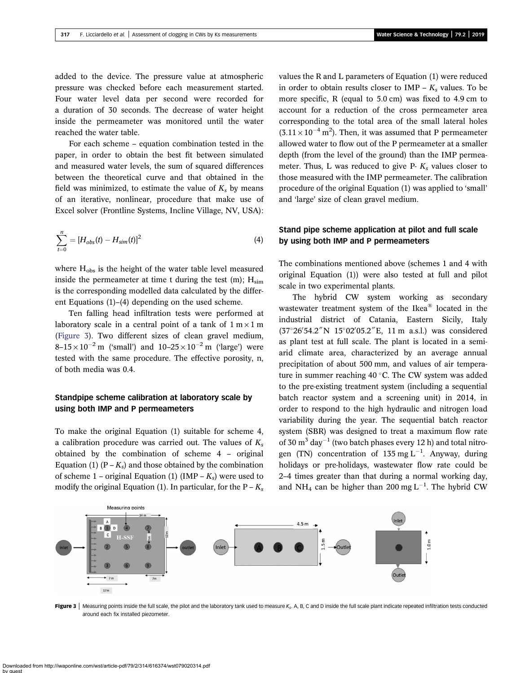<span id="page-3-0"></span>added to the device. The pressure value at atmospheric pressure was checked before each measurement started. Four water level data per second were recorded for a duration of 30 seconds. The decrease of water height inside the permeameter was monitored until the water reached the water table.

For each scheme – equation combination tested in the paper, in order to obtain the best fit between simulated and measured water levels, the sum of squared differences between the theoretical curve and that obtained in the field was minimized, to estimate the value of  $K_s$  by means of an iterative, nonlinear, procedure that make use of Excel solver (Frontline Systems, Incline Village, NV, USA):

$$
\sum_{t=0}^{n} = [H_{obs}(t) - H_{sim}(t)]^2
$$
\n(4)

where  $H_{obs}$  is the height of the water table level measured inside the permeameter at time t during the test  $(m)$ ;  $H_{sim}$ is the corresponding modelled data calculated by the different Equations (1)–(4) depending on the used scheme.

Ten falling head infiltration tests were performed at laboratory scale in a central point of a tank of  $1 \text{ m} \times 1 \text{ m}$ (Figure 3). Two different sizes of clean gravel medium,  $8-15 \times 10^{-2}$  m ('small') and  $10-25 \times 10^{-2}$  m ('large') were tested with the same procedure. The effective porosity, n, of both media was 0.4.

# Standpipe scheme calibration at laboratory scale by using both IMP and P permeameters

To make the original Equation (1) suitable for scheme 4, a calibration procedure was carried out. The values of  $K_s$ obtained by the combination of scheme 4 – original Equation (1)  $(P - K_s)$  and those obtained by the combination of scheme 1 – original Equation (1) (IMP –  $K_s$ ) were used to modify the original Equation (1). In particular, for the  $P - K_s$  values the R and L parameters of Equation (1) were reduced in order to obtain results closer to IMP –  $K_s$  values. To be more specific, R (equal to 5.0 cm) was fixed to 4.9 cm to account for a reduction of the cross permeameter area corresponding to the total area of the small lateral holes  $(3.11 \times 10^{-4} \text{ m}^2)$ . Then, it was assumed that P permeameter allowed water to flow out of the P permeameter at a smaller depth (from the level of the ground) than the IMP permeameter. Thus, L was reduced to give P-  $K_s$  values closer to those measured with the IMP permeameter. The calibration procedure of the original Equation (1) was applied to 'small' and 'large' size of clean gravel medium.

# Stand pipe scheme application at pilot and full scale by using both IMP and P permeameters

The combinations mentioned above (schemes 1 and 4 with original Equation (1)) were also tested at full and pilot scale in two experimental plants.

The hybrid CW system working as secondary wastewater treatment system of the Ikea® located in the industrial district of Catania, Eastern Sicily, Italy  $(37^{\circ}26'54.2'' N \ 15^{\circ}02'05.2'' E$ , 11 m a.s.l.) was considered as plant test at full scale. The plant is located in a semiarid climate area, characterized by an average annual precipitation of about 500 mm, and values of air temperature in summer reaching  $40^{\circ}$ C. The CW system was added to the pre-existing treatment system (including a sequential batch reactor system and a screening unit) in 2014, in order to respond to the high hydraulic and nitrogen load variability during the year. The sequential batch reactor system (SBR) was designed to treat a maximum flow rate of 30  $\mathrm{m}^3$  day<sup>-1</sup> (two batch phases every 12 h) and total nitrogen (TN) concentration of 135 mg  $L^{-1}$ . Anyway, during holidays or pre-holidays, wastewater flow rate could be 2–4 times greater than that during a normal working day, and NH<sub>4</sub> can be higher than 200 mg  $L^{-1}$ . The hybrid CW



Figure 3 | Measuring points inside the full scale, the pilot and the laboratory tank used to measure K<sub>s</sub>. A, B, C and D inside the full scale plant indicate repeated infiltration tests conducted around each fix installed piezometer.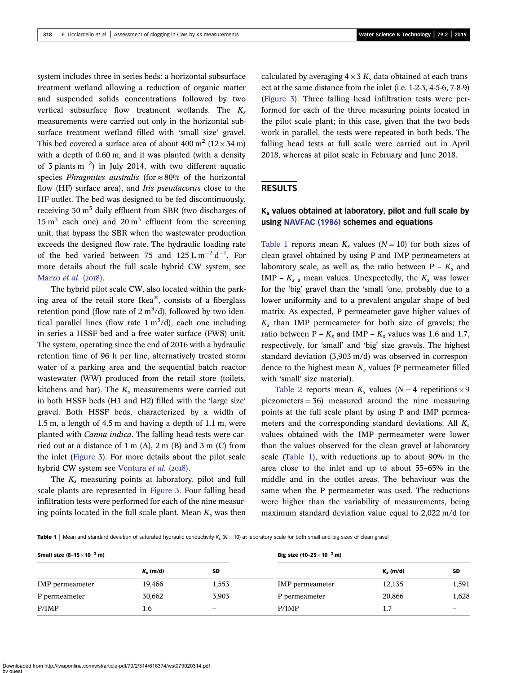<span id="page-4-0"></span>system includes three in series beds: a horizontal subsurface treatment wetland allowing a reduction of organic matter and suspended solids concentrations followed by two vertical subsurface flow treatment wetlands. The  $K_s$ measurements were carried out only in the horizontal subsurface treatment wetland filled with 'small size' gravel. This bed covered a surface area of about  $400 \text{ m}^2$  ( $12 \times 34 \text{ m}$ ) with a depth of 0.60 m, and it was planted (with a density of 3 plants  $m^{-2}$ ) in July 2014, with two different aquatic species *Phragmites australis* (for  $\approx 80\%$  of the horizontal flow (HF) surface area), and Iris pseudacorus close to the HF outlet. The bed was designed to be fed discontinuously, receiving  $30 \text{ m}^3$  daily effluent from SBR (two discharges of  $15 \text{ m}^3$  each one) and  $20 \text{ m}^3$  effluent from the screening unit, that bypass the SBR when the wastewater production exceeds the designed flow rate. The hydraulic loading rate of the bed varied between 75 and  $125 \text{ L m}^{-2} \text{ d}^{-1}$ . For more details about the full scale hybrid CW system, see [Marzo](#page-8-0) et al.  $(2018)$ .

The hybrid pilot scale CW, also located within the parking area of the retail store Ikea®, consists of a fiberglass retention pond (flow rate of  $2 \text{ m}^3/\text{d}$ ), followed by two identical parallel lines (flow rate  $1 \text{ m}^3/\text{d}$ ), each one including in series a HSSF bed and a free water surface (FWS) unit. The system, operating since the end of 2016 with a hydraulic retention time of 96 h per line, alternatively treated storm water of a parking area and the sequential batch reactor wastewater (WW) produced from the retail store (toilets, kitchens and bar). The  $K_s$  measurements were carried out in both HSSF beds (H1 and H2) filled with the 'large size' gravel. Both HSSF beds, characterized by a width of 1.5 m, a length of 4.5 m and having a depth of 1.1 m, were planted with Canna indica. The falling head tests were carried out at a distance of  $1 \text{ m}$  (A),  $2 \text{ m}$  (B) and  $3 \text{ m}$  (C) from the inlet ([Figure 3](#page-3-0)). For more details about the pilot scale hybrid CW system see [Ventura](#page-8-0) et al. (2018).

The  $K_s$  measuring points at laboratory, pilot and full scale plants are represented in [Figure 3](#page-3-0). Four falling head infiltration tests were performed for each of the nine measuring points located in the full scale plant. Mean  $K_s$  was then

calculated by averaging  $4 \times 3 K_s$  data obtained at each transect at the same distance from the inlet (i.e. 1-2-3, 4-5-6, 7-8-9) ([Figure 3\)](#page-3-0). Three falling head infiltration tests were performed for each of the three measuring points located in the pilot scale plant; in this case, given that the two beds work in parallel, the tests were repeated in both beds. The falling head tests at full scale were carried out in April 2018, whereas at pilot scale in February and June 2018.

### RESULTS

# Ks values obtained at laboratory, pilot and full scale by using [NAVFAC \(1986\)](#page-8-0) schemes and equations

Table 1 reports mean  $K_s$  values ( $N = 10$ ) for both sizes of clean gravel obtained by using P and IMP permeameters at laboratory scale, as well as, the ratio between  $P - K_s$  and IMP –  $K_s$  s mean values. Unexpectedly, the  $K_s$  was lower for the 'big' gravel than the 'small 'one, probably due to a lower uniformity and to a prevalent angular shape of bed matrix. As expected, P permeameter gave higher values of  $K<sub>s</sub>$  than IMP permeameter for both size of gravels; the ratio between P –  $K_s$  and IMP –  $K_s$  values was 1.6 and 1.7, respectively, for 'small' and 'big' size gravels. The highest standard deviation (3,903 m/d) was observed in correspondence to the highest mean  $K_s$  values (P permeameter filled with 'small' size material).

[Table 2](#page-5-0) reports mean  $K_s$  values ( $N = 4$  repetitions  $\times 9$ piezometers  $= 36$ ) measured around the nine measuring points at the full scale plant by using P and IMP permeameters and the corresponding standard deviations. All  $K_s$ values obtained with the IMP permeameter were lower than the values observed for the clean gravel at laboratory scale (Table 1), with reductions up to about 90% in the area close to the inlet and up to about 55–65% in the middle and in the outlet areas. The behaviour was the same when the P permeameter was used. The reductions were higher than the variability of measurements, being maximum standard deviation value equal to 2,022 m/d for

**Table 1** Mean and standard deviation of saturated hydraulic conductivity  $K_s$  ( $N = 10$ ) at laboratory scale for both small and big sizes of clean gravel

| Small size $(8-15 \times 10^{-2} \text{ m})$ |             |       | Big size (10–25 $\times$ 10 <sup>–2</sup> m) |             |           |  |
|----------------------------------------------|-------------|-------|----------------------------------------------|-------------|-----------|--|
|                                              | $K_s$ (m/d) | SD    |                                              | $K_s$ (m/d) | <b>SD</b> |  |
| IMP permeameter                              | 19,466      | 1,553 | <b>IMP</b> permeameter                       | 12,135      | 1,591     |  |
| P permeameter                                | 30,662      | 3,903 | P permeameter                                | 20,866      | 1,628     |  |
| P/IMP                                        | 1.6         | -     | P/IMP                                        | 1.7         |           |  |

Downloaded from http://iwaponline.com/wst/article-pdf/79/2/314/616374/wst079020314.pdf by guest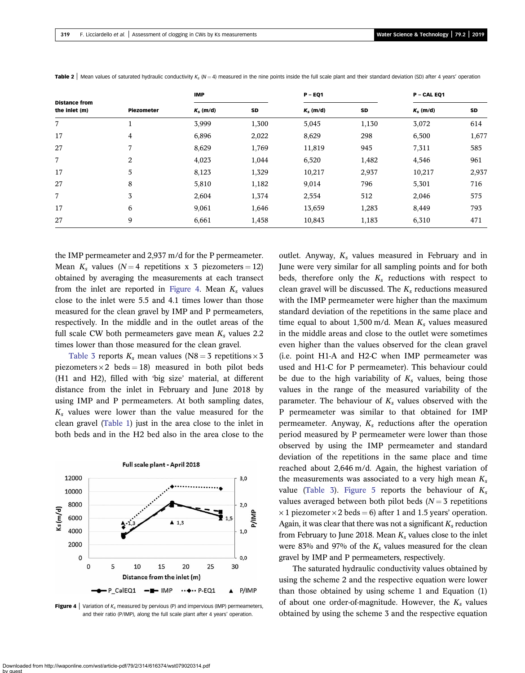| <b>Distance from</b><br>the inlet (m) | Piezometer     | <b>IMP</b>  |           | $P - EQ1$   |       | P - CAL EQ1 |       |
|---------------------------------------|----------------|-------------|-----------|-------------|-------|-------------|-------|
|                                       |                | $K_s$ (m/d) | <b>SD</b> | $K_s$ (m/d) | SD    | $K_s$ (m/d) | SD    |
| 7                                     |                | 3,999       | 1,300     | 5,045       | 1,130 | 3,072       | 614   |
| 17                                    | $\overline{4}$ | 6,896       | 2,022     | 8,629       | 298   | 6,500       | 1,677 |
| 27                                    | 7              | 8,629       | 1,769     | 11,819      | 945   | 7,311       | 585   |
| 7                                     | 2              | 4,023       | 1,044     | 6,520       | 1,482 | 4,546       | 961   |
| 17                                    | 5              | 8,123       | 1,329     | 10,217      | 2,937 | 10,217      | 2,937 |
| 27                                    | 8              | 5,810       | 1,182     | 9,014       | 796   | 5,301       | 716   |
| 7                                     | 3              | 2,604       | 1,374     | 2,554       | 512   | 2,046       | 575   |
| 17                                    | 6              | 9,061       | 1,646     | 13,659      | 1,283 | 8,449       | 793   |
| 27                                    | 9              | 6,661       | 1,458     | 10,843      | 1,183 | 6,310       | 471   |

<span id="page-5-0"></span>Table 2 | Mean values of saturated hydraulic conductivity  $K_1(N=4)$  measured in the nine points inside the full scale plant and their standard deviation (SD) after 4 years' operation

the IMP permeameter and 2,937 m/d for the P permeameter. Mean  $K_s$  values ( $N = 4$  repetitions x 3 piezometers = 12) obtained by averaging the measurements at each transect from the inlet are reported in Figure 4. Mean  $K_s$  values close to the inlet were 5.5 and 4.1 times lower than those measured for the clean gravel by IMP and P permeameters, respectively. In the middle and in the outlet areas of the full scale CW both permeameters gave mean  $K_s$  values 2.2 times lower than those measured for the clean gravel.

[Table 3](#page-6-0) reports  $K_s$  mean values (N8 = 3 repetitions  $\times$  3 piezometers  $\times$  2 beds = 18) measured in both pilot beds (H1 and H2), filled with 'big size' material, at different distance from the inlet in February and June 2018 by using IMP and P permeameters. At both sampling dates,  $K_s$  values were lower than the value measured for the clean gravel [\(Table 1](#page-4-0)) just in the area close to the inlet in both beds and in the H2 bed also in the area close to the



**Figure 4** | Variation of  $K_s$  measured by pervious (P) and impervious (IMP) permeameters, and their ratio (P/IMP), along the full scale plant after 4 years' operation.

outlet. Anyway,  $K_s$  values measured in February and in June were very similar for all sampling points and for both beds, therefore only the  $K_s$  reductions with respect to clean gravel will be discussed. The  $K_s$  reductions measured with the IMP permeameter were higher than the maximum standard deviation of the repetitions in the same place and time equal to about 1,500 m/d. Mean  $K_s$  values measured in the middle areas and close to the outlet were sometimes even higher than the values observed for the clean gravel (i.e. point H1-A and H2-C when IMP permeameter was used and H1-C for P permeameter). This behaviour could be due to the high variability of  $K_s$  values, being those values in the range of the measured variability of the parameter. The behaviour of  $K_s$  values observed with the P permeameter was similar to that obtained for IMP permeameter. Anyway,  $K_s$  reductions after the operation period measured by P permeameter were lower than those observed by using the IMP permeameter and standard deviation of the repetitions in the same place and time reached about 2,646 m/d. Again, the highest variation of the measurements was associated to a very high mean  $K_s$ value ([Table 3](#page-6-0)). [Figure 5](#page-6-0) reports the behaviour of  $K_s$ values averaged between both pilot beds  $(N = 3$  repetitions  $\times$  1 piezometer  $\times$  2 beds = 6) after 1 and 1.5 years' operation. Again, it was clear that there was not a significant  $K_s$  reduction from February to June 2018. Mean  $K_s$  values close to the inlet were 83% and 97% of the  $K_s$  values measured for the clean gravel by IMP and P permeameters, respectively.

The saturated hydraulic conductivity values obtained by using the scheme 2 and the respective equation were lower than those obtained by using scheme 1 and Equation (1) of about one order-of-magnitude. However, the  $K_s$  values obtained by using the scheme 3 and the respective equation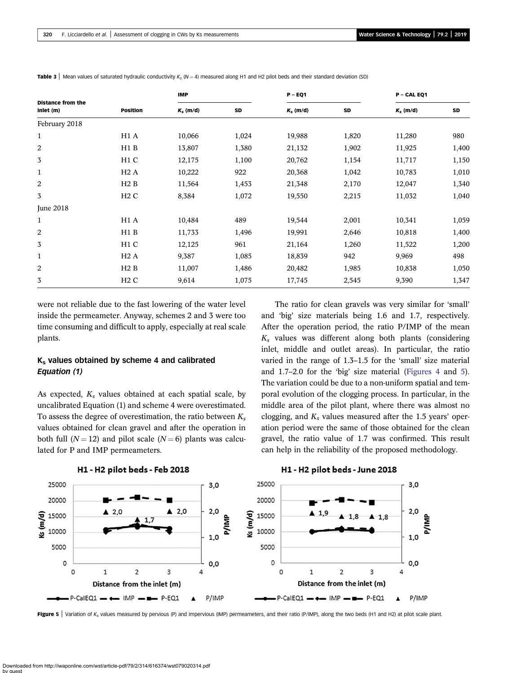| <b>Distance from the</b><br>inlet (m) | <b>Position</b>  | <b>IMP</b>  |       | $P - EQ1$   |       | P - CAL EQ1 |           |
|---------------------------------------|------------------|-------------|-------|-------------|-------|-------------|-----------|
|                                       |                  | $K_s$ (m/d) | SD    | $K_s$ (m/d) | SD    | $K_s$ (m/d) | <b>SD</b> |
| February 2018                         |                  |             |       |             |       |             |           |
| $\mathbf{1}$                          | H1 A             | 10,066      | 1,024 | 19,988      | 1,820 | 11,280      | 980       |
| 2                                     | H1B              | 13,807      | 1,380 | 21,132      | 1,902 | 11,925      | 1,400     |
| 3                                     | H <sub>1</sub> C | 12,175      | 1,100 | 20,762      | 1,154 | 11,717      | 1,150     |
| $\mathbf 1$                           | H2A              | 10,222      | 922   | 20,368      | 1,042 | 10,783      | 1,010     |
| 2                                     | H2B              | 11,564      | 1,453 | 21,348      | 2,170 | 12,047      | 1,340     |
| 3                                     | H2C              | 8,384       | 1,072 | 19,550      | 2,215 | 11,032      | 1,040     |
| <b>June 2018</b>                      |                  |             |       |             |       |             |           |
| $\mathbf 1$                           | H <sub>1</sub> A | 10,484      | 489   | 19,544      | 2,001 | 10,341      | 1,059     |
| 2                                     | H1B              | 11,733      | 1,496 | 19,991      | 2,646 | 10,818      | 1,400     |
| 3                                     | H <sub>1</sub> C | 12,125      | 961   | 21,164      | 1,260 | 11,522      | 1,200     |
| $\mathbf 1$                           | H2A              | 9,387       | 1,085 | 18,839      | 942   | 9,969       | 498       |
| 2                                     | H2B              | 11,007      | 1,486 | 20,482      | 1,985 | 10,838      | 1,050     |
| 3                                     | H2C              | 9,614       | 1,075 | 17,745      | 2,545 | 9,390       | 1,347     |

<span id="page-6-0"></span>**Table 3** Mean values of saturated hydraulic conductivity K<sub>s</sub> (N = 4) measured along H1 and H2 pilot beds and their standard deviation (SD)

were not reliable due to the fast lowering of the water level inside the permeameter. Anyway, schemes 2 and 3 were too time consuming and difficult to apply, especially at real scale plants.

## $K_s$  values obtained by scheme 4 and calibrated Equation (1)

As expected,  $K_s$  values obtained at each spatial scale, by uncalibrated Equation (1) and scheme 4 were overestimated. To assess the degree of overestimation, the ratio between  $K_s$ values obtained for clean gravel and after the operation in both full ( $N = 12$ ) and pilot scale ( $N = 6$ ) plants was calculated for P and IMP permeameters.

The ratio for clean gravels was very similar for 'small' and 'big' size materials being 1.6 and 1.7, respectively. After the operation period, the ratio P/IMP of the mean  $K<sub>s</sub>$  values was different along both plants (considering inlet, middle and outlet areas). In particular, the ratio varied in the range of 1.3–1.5 for the 'small' size material and 1.7–2.0 for the 'big' size material ([Figures 4](#page-5-0) and 5). The variation could be due to a non-uniform spatial and temporal evolution of the clogging process. In particular, in the middle area of the pilot plant, where there was almost no clogging, and  $K_s$  values measured after the 1.5 years' operation period were the same of those obtained for the clean gravel, the ratio value of 1.7 was confirmed. This result can help in the reliability of the proposed methodology.



H1 - H2 pilot beds - Feb 2018

#### H1 - H2 pilot beds - June 2018

Figure 5 | Variation of K<sub>s</sub> values measured by pervious (P) and impervious (IMP) permeameters, and their ratio (P/IMP), along the two beds (H1 and H2) at pilot scale plant.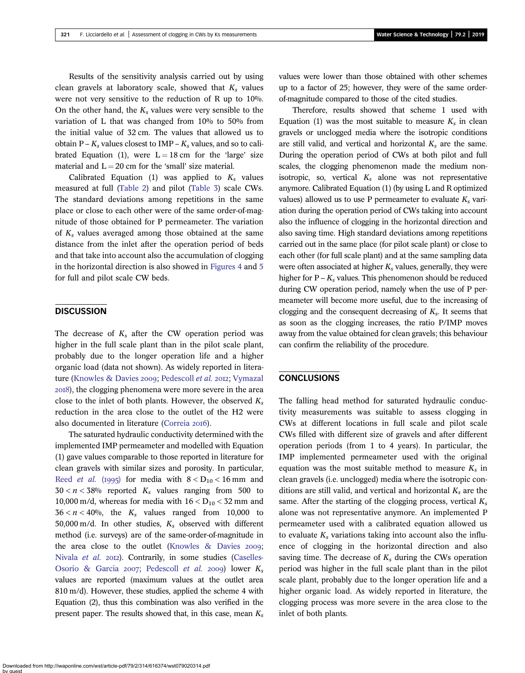Results of the sensitivity analysis carried out by using clean gravels at laboratory scale, showed that  $K_s$  values were not very sensitive to the reduction of R up to 10%. On the other hand, the  $K_s$  values were very sensible to the variation of L that was changed from 10% to 50% from the initial value of 32 cm. The values that allowed us to obtain  $P - K_s$  values closest to IMP –  $K_s$  values, and so to calibrated Equation (1), were  $L = 18$  cm for the 'large' size material and  $L = 20$  cm for the 'small' size material.

Calibrated Equation (1) was applied to  $K_s$  values measured at full ([Table 2\)](#page-5-0) and pilot ([Table 3](#page-6-0)) scale CWs. The standard deviations among repetitions in the same place or close to each other were of the same order-of-magnitude of those obtained for P permeameter. The variation of  $K_s$  values averaged among those obtained at the same distance from the inlet after the operation period of beds and that take into account also the accumulation of clogging in the horizontal direction is also showed in [Figures 4](#page-5-0) and [5](#page-6-0) for full and pilot scale CW beds.

# **DISCUSSION**

The decrease of  $K_s$  after the CW operation period was higher in the full scale plant than in the pilot scale plant, probably due to the longer operation life and a higher organic load (data not shown). As widely reported in litera-ture [\(Knowles & Davies](#page-8-0) 2009; [Pedescoll](#page-8-0) et al. 2012; [Vymazal](#page-8-0) ), the clogging phenomena were more severe in the area close to the inlet of both plants. However, the observed  $K_s$ reduction in the area close to the outlet of the H2 were also documented in literature [\(Correia](#page-8-0) 2016).

The saturated hydraulic conductivity determined with the implemented IMP permeameter and modelled with Equation (1) gave values comparable to those reported in literature for clean gravels with similar sizes and porosity. In particular, Reed *[et al.](#page-8-0)* (1995) for media with  $8 < D_{10} < 16$  mm and  $30 < n < 38\%$  reported  $K_s$  values ranging from 500 to 10,000 m/d, whereas for media with  $16 < D_{10} < 32$  mm and  $36 < n < 40\%$ , the  $K_s$  values ranged from 10,000 to 50,000 m/d. In other studies,  $K_s$  observed with different method (i.e. surveys) are of the same-order-of-magnitude in the area close to the outlet (Knowles  $\&$  Davies 2009; [Nivala](#page-8-0) et al. 2012). Contrarily, in some studies [\(Caselles-](#page-8-0)[Osorio & Garcia](#page-8-0) 2007; [Pedescoll](#page-8-0) et al. 2009) lower  $K_s$ values are reported (maximum values at the outlet area 810 m/d). However, these studies, applied the scheme 4 with Equation (2), thus this combination was also verified in the present paper. The results showed that, in this case, mean  $K_s$  values were lower than those obtained with other schemes up to a factor of 25; however, they were of the same orderof-magnitude compared to those of the cited studies.

Therefore, results showed that scheme 1 used with Equation (1) was the most suitable to measure  $K_s$  in clean gravels or unclogged media where the isotropic conditions are still valid, and vertical and horizontal  $K_s$  are the same. During the operation period of CWs at both pilot and full scales, the clogging phenomenon made the medium nonisotropic, so, vertical  $K_s$  alone was not representative anymore. Calibrated Equation (1) (by using L and R optimized values) allowed us to use P permeameter to evaluate  $K_s$  variation during the operation period of CWs taking into account also the influence of clogging in the horizontal direction and also saving time. High standard deviations among repetitions carried out in the same place (for pilot scale plant) or close to each other (for full scale plant) and at the same sampling data were often associated at higher  $K_s$  values, generally, they were higher for  $P - K_s$  values. This phenomenon should be reduced during CW operation period, namely when the use of P permeameter will become more useful, due to the increasing of clogging and the consequent decreasing of  $K_s$ . It seems that as soon as the clogging increases, the ratio P/IMP moves away from the value obtained for clean gravels; this behaviour can confirm the reliability of the procedure.

# **CONCLUSIONS**

The falling head method for saturated hydraulic conductivity measurements was suitable to assess clogging in CWs at different locations in full scale and pilot scale CWs filled with different size of gravels and after different operation periods (from 1 to 4 years). In particular, the IMP implemented permeameter used with the original equation was the most suitable method to measure  $K_s$  in clean gravels (i.e. unclogged) media where the isotropic conditions are still valid, and vertical and horizontal  $K_s$  are the same. After the starting of the clogging process, vertical  $K_s$ alone was not representative anymore. An implemented P permeameter used with a calibrated equation allowed us to evaluate  $K_s$  variations taking into account also the influence of clogging in the horizontal direction and also saving time. The decrease of  $K_s$  during the CWs operation period was higher in the full scale plant than in the pilot scale plant, probably due to the longer operation life and a higher organic load. As widely reported in literature, the clogging process was more severe in the area close to the inlet of both plants.